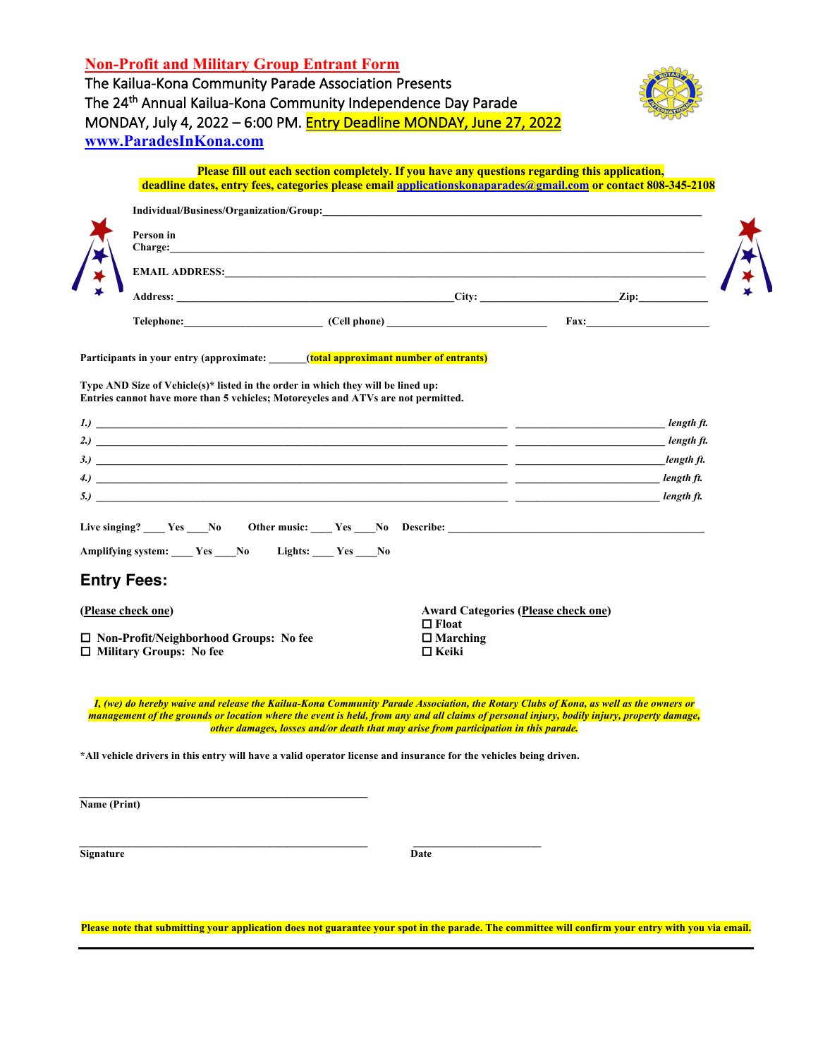| <b>Non-Profit and Military Group Entrant Form</b>                         |  |
|---------------------------------------------------------------------------|--|
| The Kailua-Kona Community Parade Association Presents                     |  |
| The 24 <sup>th</sup> Annual Kailua-Kona Community Independence Day Parade |  |
| MONDAY, July 4, 2022 - 6:00 PM. Entry Deadline MONDAY, June 27, 2022      |  |
| www.ParadesInKona.com                                                     |  |



|              |                                                                                 | Please fill out each section completely. If you have any questions regarding this application,<br>deadline dates, entry fees, categories please email applications konaparades @gmail.com or contact 808-345-2108                                                                                                                                                          |                                                 |  |                          |
|--------------|---------------------------------------------------------------------------------|----------------------------------------------------------------------------------------------------------------------------------------------------------------------------------------------------------------------------------------------------------------------------------------------------------------------------------------------------------------------------|-------------------------------------------------|--|--------------------------|
|              |                                                                                 |                                                                                                                                                                                                                                                                                                                                                                            |                                                 |  |                          |
|              | Person in                                                                       |                                                                                                                                                                                                                                                                                                                                                                            |                                                 |  |                          |
|              |                                                                                 |                                                                                                                                                                                                                                                                                                                                                                            |                                                 |  |                          |
|              |                                                                                 |                                                                                                                                                                                                                                                                                                                                                                            |                                                 |  |                          |
|              |                                                                                 | Telephone: Cell phone) Fax: Fax:                                                                                                                                                                                                                                                                                                                                           |                                                 |  |                          |
|              |                                                                                 | Participants in your entry (approximate: ______(total approximant number of entrants)                                                                                                                                                                                                                                                                                      |                                                 |  |                          |
|              |                                                                                 | Type AND Size of Vehicle(s)* listed in the order in which they will be lined up:<br>Entries cannot have more than 5 vehicles; Motorcycles and ATVs are not permitted.                                                                                                                                                                                                      |                                                 |  |                          |
|              |                                                                                 | $\ket{I}$ $\frac{1}{\sqrt{2}}$ $\frac{1}{\sqrt{2}}$ $\frac{1}{\sqrt{2}}$ $\frac{1}{\sqrt{2}}$ $\frac{1}{\sqrt{2}}$ $\frac{1}{\sqrt{2}}$ $\frac{1}{\sqrt{2}}$ $\frac{1}{\sqrt{2}}$ $\frac{1}{\sqrt{2}}$ $\frac{1}{\sqrt{2}}$ $\frac{1}{\sqrt{2}}$ $\frac{1}{\sqrt{2}}$ $\frac{1}{\sqrt{2}}$ $\frac{1}{\sqrt{2}}$ $\frac{1}{\sqrt{2}}$ $\frac{1}{\sqrt{2}}$ $\frac{1$        |                                                 |  | length ft.               |
|              |                                                                                 |                                                                                                                                                                                                                                                                                                                                                                            |                                                 |  | length ft.               |
|              |                                                                                 |                                                                                                                                                                                                                                                                                                                                                                            |                                                 |  | length ft.<br>length ft. |
|              |                                                                                 | $\left( 4.1\right)$ . The contract of the contract of the contract of the contract of the contract of the contract of the contract of the contract of the contract of the contract of the contract of the contract of the contract o<br>5.) The contract of the contract of the contract of the contract of the contract of $\sim$                                         |                                                 |  | length ft.               |
|              |                                                                                 |                                                                                                                                                                                                                                                                                                                                                                            |                                                 |  |                          |
|              | Amplifying system: _____ Yes ____ No Lights: ____ Yes ____ No                   |                                                                                                                                                                                                                                                                                                                                                                            |                                                 |  |                          |
|              | <b>Entry Fees:</b>                                                              |                                                                                                                                                                                                                                                                                                                                                                            |                                                 |  |                          |
|              | (Please check one)                                                              |                                                                                                                                                                                                                                                                                                                                                                            | <b>Award Categories (Please check one)</b>      |  |                          |
|              | $\Box$ Non-Profit/Neighborhood Groups: No fee<br>$\Box$ Military Groups: No fee |                                                                                                                                                                                                                                                                                                                                                                            | $\Box$ Float<br>$\Box$ Marching<br>$\Box$ Keiki |  |                          |
|              |                                                                                 | I, (we) do hereby waive and release the Kailua-Kona Community Parade Association, the Rotary Clubs of Kona, as well as the owners or<br>management of the grounds or location where the event is held, from any and all claims of personal injury, bodily injury, property damage,<br>other damages, losses and/or death that may arise from participation in this parade. |                                                 |  |                          |
|              |                                                                                 | *All vehicle drivers in this entry will have a valid operator license and insurance for the vehicles being driven.                                                                                                                                                                                                                                                         |                                                 |  |                          |
| Name (Print) |                                                                                 |                                                                                                                                                                                                                                                                                                                                                                            |                                                 |  |                          |
| Signature    |                                                                                 |                                                                                                                                                                                                                                                                                                                                                                            | Date                                            |  |                          |

**Please note that submitting your application does not guarantee your spot in the parade. The committee will confirm your entry with you via email.**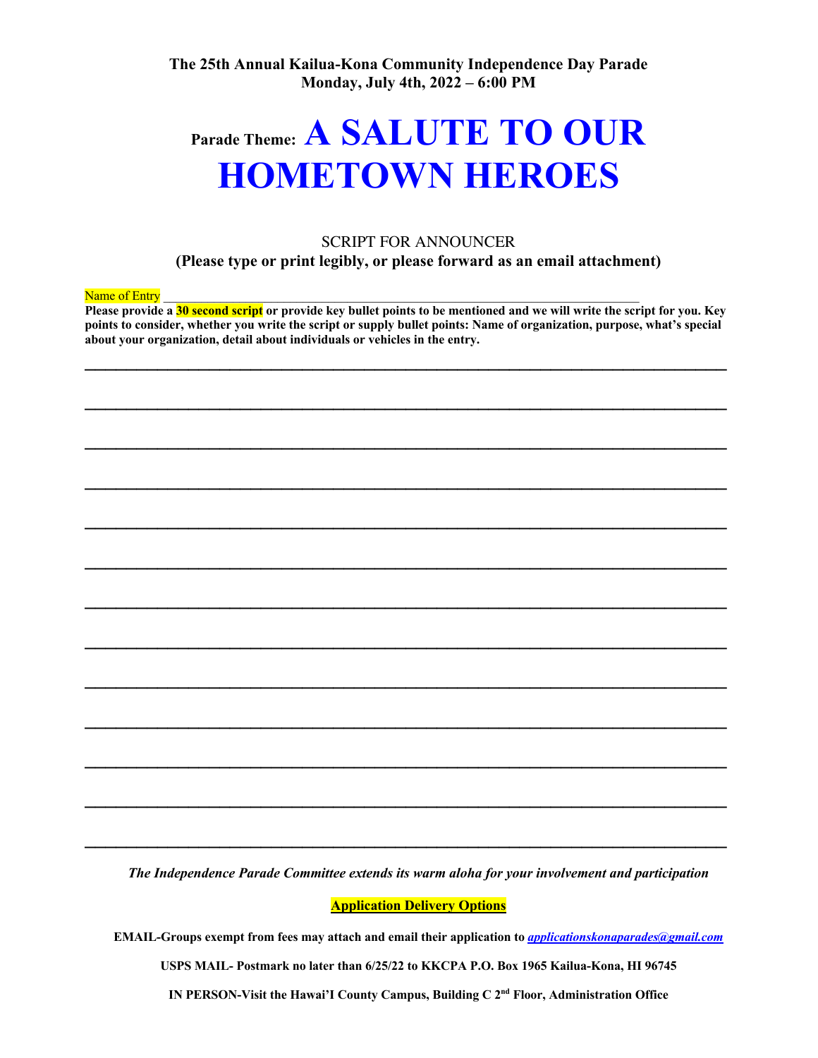**The 25th Annual Kailua-Kona Community Independence Day Parade Monday, July 4th, 2022 – 6:00 PM**

## **Parade Theme: A SALUTE TO OUR HOMETOWN HEROES**

## SCRIPT FOR ANNOUNCER

**(Please type or print legibly, or please forward as an email attachment)**

Name of Entry

**Please provide a 30 second script or provide key bullet points to be mentioned and we will write the script for you. Key points to consider, whether you write the script or supply bullet points: Name of organization, purpose, what's special about your organization, detail about individuals or vehicles in the entry.**

**\_\_\_\_\_\_\_\_\_\_\_\_\_\_\_\_\_\_\_\_\_\_\_\_\_\_\_\_\_\_\_\_\_\_\_\_\_\_\_\_\_\_\_\_\_\_\_\_\_\_\_\_\_\_\_\_\_\_\_\_\_\_** 

**\_\_\_\_\_\_\_\_\_\_\_\_\_\_\_\_\_\_\_\_\_\_\_\_\_\_\_\_\_\_\_\_\_\_\_\_\_\_\_\_\_\_\_\_\_\_\_\_\_\_\_\_\_\_\_\_\_\_\_\_\_\_** 

**\_\_\_\_\_\_\_\_\_\_\_\_\_\_\_\_\_\_\_\_\_\_\_\_\_\_\_\_\_\_\_\_\_\_\_\_\_\_\_\_\_\_\_\_\_\_\_\_\_\_\_\_\_\_\_\_\_\_\_\_\_\_** 

**\_\_\_\_\_\_\_\_\_\_\_\_\_\_\_\_\_\_\_\_\_\_\_\_\_\_\_\_\_\_\_\_\_\_\_\_\_\_\_\_\_\_\_\_\_\_\_\_\_\_\_\_\_\_\_\_\_\_\_\_\_\_** 

**\_\_\_\_\_\_\_\_\_\_\_\_\_\_\_\_\_\_\_\_\_\_\_\_\_\_\_\_\_\_\_\_\_\_\_\_\_\_\_\_\_\_\_\_\_\_\_\_\_\_\_\_\_\_\_\_\_\_\_\_\_\_** 

**\_\_\_\_\_\_\_\_\_\_\_\_\_\_\_\_\_\_\_\_\_\_\_\_\_\_\_\_\_\_\_\_\_\_\_\_\_\_\_\_\_\_\_\_\_\_\_\_\_\_\_\_\_\_\_\_\_\_\_\_\_\_** 

**\_\_\_\_\_\_\_\_\_\_\_\_\_\_\_\_\_\_\_\_\_\_\_\_\_\_\_\_\_\_\_\_\_\_\_\_\_\_\_\_\_\_\_\_\_\_\_\_\_\_\_\_\_\_\_\_\_\_\_\_\_\_** 

**\_\_\_\_\_\_\_\_\_\_\_\_\_\_\_\_\_\_\_\_\_\_\_\_\_\_\_\_\_\_\_\_\_\_\_\_\_\_\_\_\_\_\_\_\_\_\_\_\_\_\_\_\_\_\_\_\_\_\_\_\_\_** 

**\_\_\_\_\_\_\_\_\_\_\_\_\_\_\_\_\_\_\_\_\_\_\_\_\_\_\_\_\_\_\_\_\_\_\_\_\_\_\_\_\_\_\_\_\_\_\_\_\_\_\_\_\_\_\_\_\_\_\_\_\_\_** 

**\_\_\_\_\_\_\_\_\_\_\_\_\_\_\_\_\_\_\_\_\_\_\_\_\_\_\_\_\_\_\_\_\_\_\_\_\_\_\_\_\_\_\_\_\_\_\_\_\_\_\_\_\_\_\_\_\_\_\_\_\_\_** 

**\_\_\_\_\_\_\_\_\_\_\_\_\_\_\_\_\_\_\_\_\_\_\_\_\_\_\_\_\_\_\_\_\_\_\_\_\_\_\_\_\_\_\_\_\_\_\_\_\_\_\_\_\_\_\_\_\_\_\_\_\_\_** 

**\_\_\_\_\_\_\_\_\_\_\_\_\_\_\_\_\_\_\_\_\_\_\_\_\_\_\_\_\_\_\_\_\_\_\_\_\_\_\_\_\_\_\_\_\_\_\_\_\_\_\_\_\_\_\_\_\_\_\_\_\_\_** 

**\_\_\_\_\_\_\_\_\_\_\_\_\_\_\_\_\_\_\_\_\_\_\_\_\_\_\_\_\_\_\_\_\_\_\_\_\_\_\_\_\_\_\_\_\_\_\_\_\_\_\_\_\_\_\_\_\_\_\_\_\_\_**

*The Independence Parade Committee extends its warm aloha for your involvement and participation*

**Application Delivery Options**

**EMAIL-Groups exempt from fees may attach and email their application to** *applicationskonaparades@gmail.com*

**USPS MAIL- Postmark no later than 6/25/22 to KKCPA P.O. Box 1965 Kailua-Kona, HI 96745**

**IN PERSON-Visit the Hawai'I County Campus, Building C 2nd Floor, Administration Office**